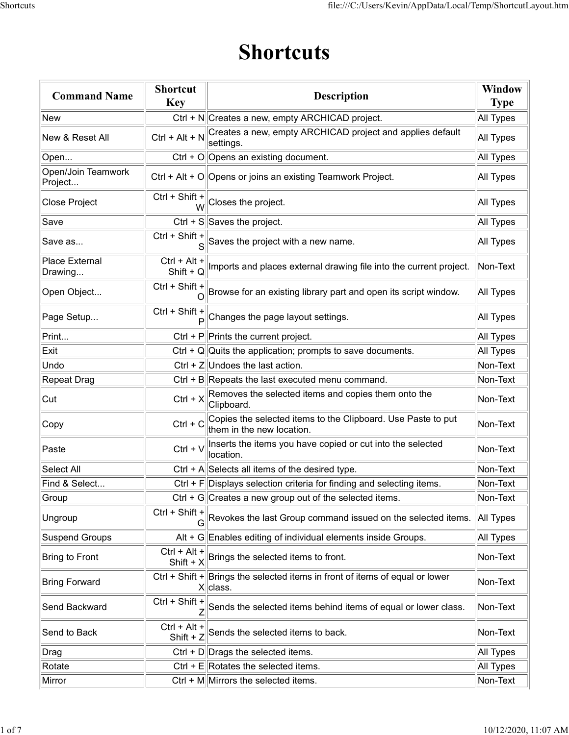## Shortcuts

|                               |                               | <b>Shortcuts</b>                                                                                                                                                                                                                                                                                                    |                              |
|-------------------------------|-------------------------------|---------------------------------------------------------------------------------------------------------------------------------------------------------------------------------------------------------------------------------------------------------------------------------------------------------------------|------------------------------|
| <b>Command Name</b>           | <b>Shortcut</b><br><b>Key</b> | <b>Description</b>                                                                                                                                                                                                                                                                                                  | <b>Window</b><br><b>Type</b> |
| New                           |                               | Ctrl + N  Creates a new, empty ARCHICAD project.                                                                                                                                                                                                                                                                    | All Types                    |
| New & Reset All               | $Ctrl + Alt + N$              | Creates a new, empty ARCHICAD project and applies default<br>settings.                                                                                                                                                                                                                                              | All Types                    |
| Open                          |                               | Ctrl + O Opens an existing document.                                                                                                                                                                                                                                                                                | All Types                    |
| Open/Join Teamwork<br>Project |                               | Ctrl + Alt + O Opens or joins an existing Teamwork Project.                                                                                                                                                                                                                                                         | <b>All Types</b>             |
| Close Project                 | Ctrl + Shift +<br>W           | Closes the project.                                                                                                                                                                                                                                                                                                 | All Types                    |
| ∣Save                         |                               | Ctrl + $S$ Saves the project.                                                                                                                                                                                                                                                                                       | All Types                    |
| ∣Save as                      | Ctrl + Shift +<br>S           | Saves the project with a new name.                                                                                                                                                                                                                                                                                  | All Types                    |
| Place External<br>Drawing     | Ctrl + Alt +<br>Shift + $Q$   | Imports and places external drawing file into the current project.                                                                                                                                                                                                                                                  | Non-Text                     |
| Open Object                   |                               | Ctrl + Shift + Shift + Browse for an existing library part and open its script window.                                                                                                                                                                                                                              | All Types                    |
| Page Setup                    | Ctrl + Shift +                | $\mathbf{P}$ Changes the page layout settings.                                                                                                                                                                                                                                                                      | All Types                    |
| Print                         |                               | Ctrl + $P  P$ rints the current project.                                                                                                                                                                                                                                                                            | All Types                    |
| Exit                          |                               | Ctrl + Q Quits the application; prompts to save documents.                                                                                                                                                                                                                                                          | All Types                    |
| Undo                          |                               | Ctrl + $Z$ Undoes the last action.                                                                                                                                                                                                                                                                                  | Non-Text                     |
| Repeat Drag                   |                               | Ctrl + B Repeats the last executed menu command.                                                                                                                                                                                                                                                                    | Non-Text                     |
| Cut                           | $Ctrl + X$                    | Removes the selected items and copies them onto the<br>Clipboard.                                                                                                                                                                                                                                                   | Non-Text                     |
| Copy                          | $Ctrl + C$                    | Copies the selected items to the Clipboard. Use Paste to put<br>them in the new location.                                                                                                                                                                                                                           | Non-Text                     |
| Paste                         | $Ctrl + V$                    | Inserts the items you have copied or cut into the selected<br>location.                                                                                                                                                                                                                                             | Non-Text                     |
| Select All                    |                               | Ctrl + A Selects all items of the desired type.                                                                                                                                                                                                                                                                     | Non-Text                     |
| Find & Select                 |                               | $Ctrl + F $ Displays selection criteria for finding and selecting items.                                                                                                                                                                                                                                            | Non-Text                     |
| Group                         |                               | Ctrl + G Creates a new group out of the selected items.                                                                                                                                                                                                                                                             | Non-Text                     |
| Ungroup                       |                               | $\overline{C}$ trl + Shift + $\overline{G}$ Revokes the last Group command issued on the selected items.                                                                                                                                                                                                            | <b>All Types</b>             |
| Suspend Groups                |                               | Alt + G Enables editing of individual elements inside Groups.                                                                                                                                                                                                                                                       | All Types                    |
| Bring to Front                | $Ctrl + Alt +$                | $\frac{1}{2}$ $\frac{1}{2}$ $\frac{1}{2}$ $\frac{1}{2}$ $\frac{1}{2}$ $\frac{1}{2}$ $\frac{1}{2}$ $\frac{1}{2}$ $\frac{1}{2}$ $\frac{1}{2}$ $\frac{1}{2}$ $\frac{1}{2}$ $\frac{1}{2}$ $\frac{1}{2}$ $\frac{1}{2}$ $\frac{1}{2}$ $\frac{1}{2}$ $\frac{1}{2}$ $\frac{1}{2}$ $\frac{1}{2}$ $\frac{1}{2}$ $\frac{1}{2}$ | Non-Text                     |
| <b>Bring Forward</b>          |                               | Ctrl + Shift + $\parallel$ Brings the selected items in front of items of equal or lower<br>$X$ class.                                                                                                                                                                                                              | Non-Text                     |
| Send Backward                 | Ctrl + Shift +                | Sends the selected items behind items of equal or lower class.                                                                                                                                                                                                                                                      | Non-Text                     |
| Send to Back                  | Ctrl + Alt +<br>Shift $+Z$    | Sends the selected items to back.                                                                                                                                                                                                                                                                                   | Non-Text                     |
| Drag                          |                               | Ctrl + $D$ Drags the selected items.                                                                                                                                                                                                                                                                                | All Types                    |
| Rotate                        |                               | Ctrl + $E$ Rotates the selected items.                                                                                                                                                                                                                                                                              | All Types                    |
| Mirror                        |                               | Ctrl + $M$ Mirrors the selected items.                                                                                                                                                                                                                                                                              | Non-Text                     |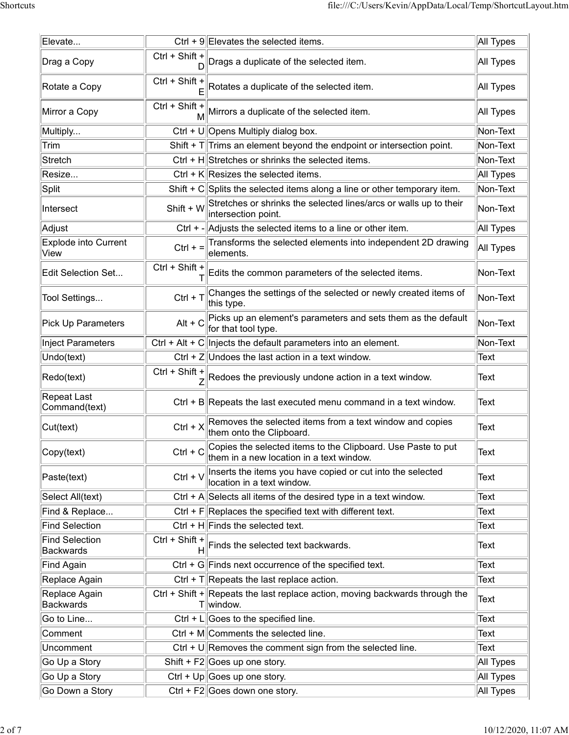|                                           |                                | file:///C:/Users/Kevin/AppData/Local/Temp/ShortcutLayout.htm                                             |                  |
|-------------------------------------------|--------------------------------|----------------------------------------------------------------------------------------------------------|------------------|
| Elevate                                   |                                | Ctrl + 9 Elevates the selected items.                                                                    | All Types        |
| Drag a Copy                               |                                | Ctrl + Shift + $\bigcap_{D}$ Drags a duplicate of the selected item.                                     | All Types        |
|                                           | $Ctrl + Shift +$               |                                                                                                          |                  |
| Rotate a Copy                             |                                | Rotates a duplicate of the selected item.                                                                | All Types        |
| Mirror a Copy                             | Ctrl + Shift +                 | $\dot{M}$ Mirrors a duplicate of the selected item.                                                      | All Types        |
| Multiply                                  |                                | Ctrl + U  Opens Multiply dialog box.                                                                     | Non-Text         |
| Trim                                      |                                | Shift + $T$ Trims an element beyond the endpoint or intersection point.                                  | Non-Text         |
| Stretch                                   |                                | Ctrl + H Stretches or shrinks the selected items.                                                        | Non-Text         |
| Resize                                    |                                | Ctrl + $K$ Resizes the selected items.                                                                   | All Types        |
| Split                                     |                                | Shift + $C  S$ plits the selected items along a line or other temporary item.                            | Non-Text         |
| Intersect                                 |                                | Shift + W Stretches or shrinks the selected lines/arcs or walls up to their<br>intersection point.       | Non-Text         |
| Adjust                                    |                                | Ctrl $+$ - $\vert$ Adjusts the selected items to a line or other item.                                   | All Types        |
| <b>Explode into Current</b><br>View       | $Ctrl + =$                     | Transforms the selected elements into independent 2D drawing<br>elements.                                | <b>All Types</b> |
| Edit Selection Set                        | Ctrl + Shift +                 | Edits the common parameters of the selected items.                                                       | Non-Text         |
| Tool Settings                             | $Ctrl + T$                     | Changes the settings of the selected or newly created items of<br>this type.                             | Non-Text         |
| Pick Up Parameters                        |                                | Alt + $C$ Picks up an element's parameters and sets them as the default<br>for that tool type.           | Non-Text         |
| <b>Inject Parameters</b>                  |                                | Ctrl + Alt + C Injects the default parameters into an element.                                           | Non-Text         |
| Undo(text)                                |                                | Ctrl + $Z$ Undoes the last action in a text window.                                                      | Text             |
| Redo(text)                                | $Ctrl + Shift +$               | $\frac{1}{Z}$ Redoes the previously undone action in a text window.                                      | Text             |
| <b>Repeat Last</b><br>Command(text)       |                                | Ctrl + B Repeats the last executed menu command in a text window.                                        | Text             |
| Cut(text)                                 | $Ctrl + X$                     | Removes the selected items from a text window and copies<br>them onto the Clipboard.                     | Text             |
| Copy(text)                                | $Ctrl + C$                     | Copies the selected items to the Clipboard. Use Paste to put<br>them in a new location in a text window. | Text             |
| Paste(text)                               | $Ctrl + V$                     | Inserts the items you have copied or cut into the selected<br>location in a text window.                 | Text             |
| Select All(text)                          |                                | Ctrl + A Selects all items of the desired type in a text window.                                         | Text             |
| Find & Replace                            |                                | Ctrl + $F$ Replaces the specified text with different text.                                              | Text             |
| Find Selection                            |                                | Ctrl + $H$ Finds the selected text.                                                                      | Text             |
| <b>Find Selection</b><br><b>Backwards</b> | Ctrl + Shift +                 | $H$ Finds the selected text backwards.                                                                   | Text             |
| <b>Find Again</b>                         |                                | Ctrl + G Finds next occurrence of the specified text.                                                    | Text             |
| Replace Again                             |                                | Ctrl + T Repeats the last replace action.                                                                | Text             |
| Replace Again<br><b>Backwards</b>         |                                | Ctrl + Shift + Repeats the last replace action, moving backwards through the<br>$T$ window.              | Text             |
| Go to Line                                |                                | Ctrl + L Goes to the specified line.                                                                     | Text             |
| Comment                                   |                                | $\overline{\text{Ctrl}} + \overline{\text{M}}$ Comments the selected line.                               | Text             |
| Uncomment                                 |                                | Ctrl + U Removes the comment sign from the selected line.                                                | Text             |
| Go Up a Story                             |                                | Shift + $F2$ Goes up one story.                                                                          | All Types        |
| Go Up a Story                             |                                | Ctrl + Up Goes up one story.                                                                             | All Types        |
| Go Down a Story                           | Ctrl + F2 Goes down one story. |                                                                                                          | All Types        |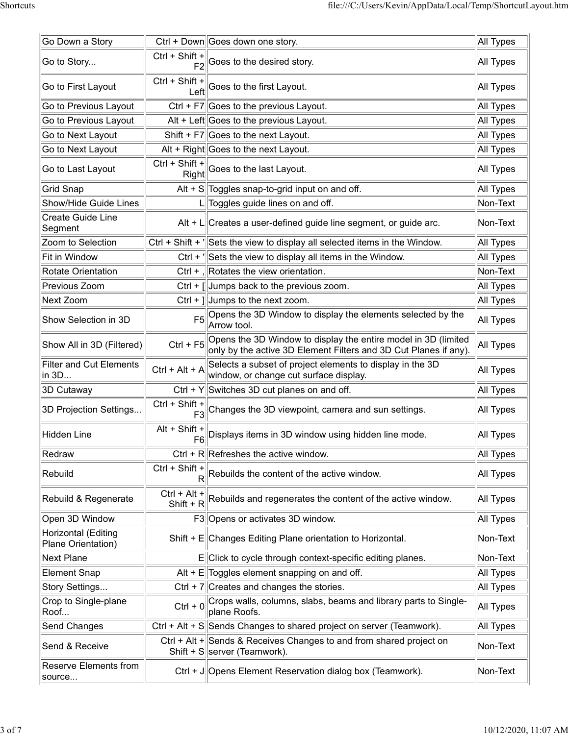|                                           |                           | file:///C:/Users/Kevin/AppData/Local/Temp/ShortcutLayout.htm                                                                              |                  |
|-------------------------------------------|---------------------------|-------------------------------------------------------------------------------------------------------------------------------------------|------------------|
|                                           |                           |                                                                                                                                           |                  |
| Go Down a Story                           |                           | Ctrl + Down Goes down one story.                                                                                                          | All Types        |
| Go to Story                               |                           | Ctrl + Shift + $\left\ $ Goes to the desired story.                                                                                       | All Types        |
| Go to First Layout                        |                           | Ctrl + Shift + $\left\ $ Goes to the first Layout.                                                                                        | All Types        |
| Go to Previous Layout                     |                           | Ctrl + $F7$ Goes to the previous Layout.                                                                                                  | All Types        |
| Go to Previous Layout                     |                           | Alt + Left Goes to the previous Layout.                                                                                                   | All Types        |
| Go to Next Layout                         |                           | Shift + $F7$ Goes to the next Layout.                                                                                                     | All Types        |
| Go to Next Layout                         |                           | Alt + Right Goes to the next Layout.                                                                                                      | All Types        |
| Go to Last Layout                         | $Ctrl + Shift +$<br>Right | $\parallel$ Goes to the last Layout.                                                                                                      | All Types        |
| <b>Grid Snap</b>                          |                           | Alt + S Toggles snap-to-grid input on and off.                                                                                            | All Types        |
| Show/Hide Guide Lines                     |                           | $L$ Toggles guide lines on and off.                                                                                                       | Non-Text         |
| <b>Create Guide Line</b><br>Segment       |                           | Alt + $L$ Creates a user-defined guide line segment, or guide arc.                                                                        | Non-Text         |
| Zoom to Selection                         |                           | $Ctrl + Shift + \n\frac{1}{1} Sets$ the view to display all selected items in the Window.                                                 | All Types        |
| Fit in Window                             |                           | Ctrl + $\parallel$ Sets the view to display all items in the Window.                                                                      | All Types        |
| Rotate Orientation                        |                           | Ctrl + , Rotates the view orientation.                                                                                                    | Non-Text         |
| Previous Zoom                             |                           | Ctrl + $\left[\right]$ Jumps back to the previous zoom.                                                                                   | All Types        |
| Next Zoom                                 |                           | Ctrl + $\parallel$ Jumps to the next zoom.                                                                                                | All Types        |
| Show Selection in 3D                      |                           | Opens the 3D Window to display the elements selected by the<br>Arrow tool.                                                                | <b>All Types</b> |
| Show All in 3D (Filtered)                 | $Ctrl + F5$               | Opens the 3D Window to display the entire model in 3D (limited<br>only by the active 3D Element Filters and 3D Cut Planes if any).        | <b>All Types</b> |
| <b>Filter and Cut Elements</b><br>in 3D   | $Ctrl + Alt + A$          | Selects a subset of project elements to display in the 3D<br>window, or change cut surface display.                                       | All Types        |
| 3D Cutaway                                |                           | Ctrl + $Y$ Switches 3D cut planes on and off.                                                                                             | All Types        |
| 3D Projection Settings                    |                           | $\overline{\text{Ctrl}} + \text{Shift} + \begin{vmatrix} - & - \\ - & - \end{vmatrix}$ Changes the 3D viewpoint, camera and sun settings. | All Types        |
| <b>Hidden Line</b>                        | Alt + Shift +             | $\left\  \frac{1}{\mathsf{F6}} \right\ $ Displays items in 3D window using hidden line mode.                                              | All Types        |
|                                           |                           |                                                                                                                                           |                  |
| Redraw                                    |                           | Ctrl + $R$ Refreshes the active window.                                                                                                   | All Types        |
| Rebuild                                   | Ctrl + Shift +            | $\mathbf{R}$ Rebuilds the content of the active window.                                                                                   | All Types        |
| Rebuild & Regenerate                      | Ctrl + Alt +              | $\frac{1}{2}$ $\frac{1}{2}$ $\frac{1}{2}$ $\frac{1}{2}$ Rebuilds and regenerates the content of the active window.                        | All Types        |
| Open 3D Window                            |                           | F3 Opens or activates 3D window.                                                                                                          | All Types        |
| Horizontal (Editing<br>Plane Orientation) |                           | Shift + E Changes Editing Plane orientation to Horizontal.                                                                                | Non-Text         |
| <b>Next Plane</b>                         |                           | E Click to cycle through context-specific editing planes.                                                                                 | Non-Text         |
| Element Snap                              |                           | Alt + $E$ Toggles element snapping on and off.                                                                                            | All Types        |
| Story Settings                            |                           | Ctrl + $7$ Creates and changes the stories.                                                                                               | All Types        |
| Crop to Single-plane<br>Roof              |                           | Ctrl + 0 Crops walls, columns, slabs, beams and library parts to Single-<br>plane Roofs.                                                  | All Types        |
| Send Changes                              |                           | Ctrl + Alt + S Sends Changes to shared project on server (Teamwork).                                                                      | All Types        |
| Send & Receive                            |                           | Ctrl + Alt + Sends & Receives Changes to and from shared project on<br>Shift + $S$ server (Teamwork).                                     | Non-Text         |
|                                           |                           |                                                                                                                                           |                  |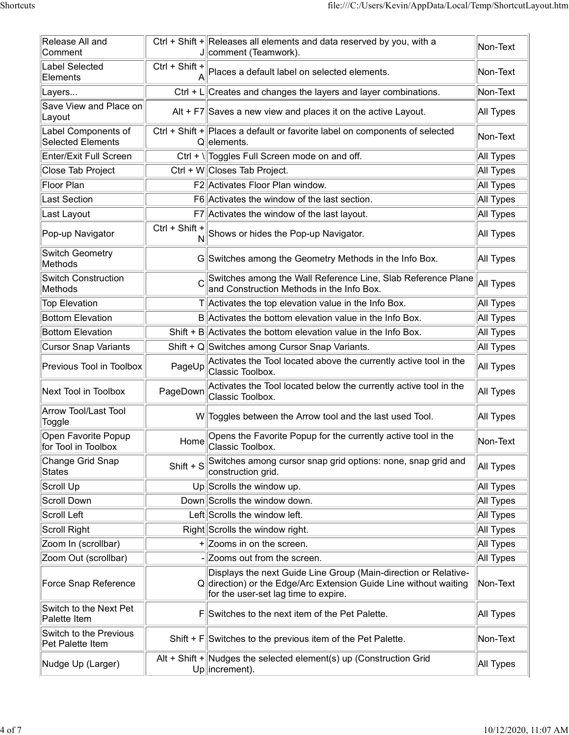|                                              |                  | file:///C:/Users/Kevin/AppData/Local/Temp/ShortcutLayout.htm                                                                                                                 |                       |
|----------------------------------------------|------------------|------------------------------------------------------------------------------------------------------------------------------------------------------------------------------|-----------------------|
|                                              |                  |                                                                                                                                                                              |                       |
| Release All and<br>Comment                   |                  | Ctrl + Shift + Releases all elements and data reserved by you, with a<br>J comment (Teamwork).                                                                               | Non-Text              |
| Label Selected                               | Ctrl + Shift +   |                                                                                                                                                                              |                       |
| Elements                                     | А                | Places a default label on selected elements.                                                                                                                                 | Non-Text              |
| Layers                                       |                  | $Ctrl + L$ Creates and changes the layers and layer combinations.                                                                                                            | Non-Text              |
| Save View and Place on<br>∣Layout            |                  | Alt + F7 Saves a new view and places it on the active Layout.                                                                                                                | All Types             |
| Label Components of                          |                  | Ctrl + Shift + Places a default or favorite label on components of selected                                                                                                  |                       |
| <b>Selected Elements</b>                     |                  | Q elements.                                                                                                                                                                  | Non-Text              |
| <b>Enter/Exit Full Screen</b>                |                  | Ctrl + \  Toggles Full Screen mode on and off.                                                                                                                               | All Types             |
| Close Tab Project                            |                  | Ctrl + W Closes Tab Project.                                                                                                                                                 | All Types             |
| Floor Plan                                   |                  | F2 Activates Floor Plan window.                                                                                                                                              | <b>All Types</b>      |
| <b>Last Section</b>                          |                  | F6 Activates the window of the last section.                                                                                                                                 | All Types             |
| Last Layout                                  |                  | F7 Activates the window of the last layout.                                                                                                                                  | All Types             |
| Pop-up Navigator                             | $Ctrl + Shift +$ | $\dot{\mathsf{N}}$ Shows or hides the Pop-up Navigator.                                                                                                                      | All Types             |
| Switch Geometry<br>Methods                   |                  | G Switches among the Geometry Methods in the Info Box.                                                                                                                       | All Types             |
| <b>Switch Construction</b><br><b>Methods</b> |                  | $\sim$ Switches among the Wall Reference Line, Slab Reference Plane<br>and Construction Methods in the Info Box.                                                             | $\parallel$ All Types |
| <b>Top Elevation</b>                         |                  | $T$ Activates the top elevation value in the Info Box.                                                                                                                       | All Types             |
| <b>Bottom Elevation</b>                      |                  | B Activates the bottom elevation value in the Info Box.                                                                                                                      | All Types             |
| Bottom Elevation                             |                  | Shift + B $\parallel$ Activates the bottom elevation value in the Info Box.                                                                                                  | All Types             |
| <b>Cursor Snap Variants</b>                  |                  | Shift + Q Switches among Cursor Snap Variants.                                                                                                                               | All Types             |
| Previous Tool in Toolbox                     | PageUp           | Activates the Tool located above the currently active tool in the<br>Classic Toolbox.                                                                                        | All Types             |
| Next Tool in Toolbox                         | PageDown         | Activates the Tool located below the currently active tool in the<br>Classic Toolbox.                                                                                        | All Types             |
| <b>Arrow Tool/Last Tool</b><br>Toggle        |                  | W  Toggles between the Arrow tool and the last used Tool.                                                                                                                    | All Types             |
| Open Favorite Popup<br>for Tool in Toolbox   | Home             | Opens the Favorite Popup for the currently active tool in the<br>Classic Toolbox.                                                                                            | Non-Text              |
| Change Grid Snap                             | Shift $+ S$      | Switches among cursor snap grid options: none, snap grid and                                                                                                                 | All Types             |
| States                                       |                  | construction grid.                                                                                                                                                           |                       |
| Scroll Up                                    |                  | Up Scrolls the window up.                                                                                                                                                    | All Types             |
| Scroll Down                                  |                  | Down Scrolls the window down.                                                                                                                                                | All Types             |
| Scroll Left                                  |                  | Left Scrolls the window left.                                                                                                                                                | All Types             |
| Scroll Right                                 |                  | Right Scrolls the window right.                                                                                                                                              | All Types             |
| Zoom In (scrollbar)                          |                  | $+$ Zooms in on the screen.                                                                                                                                                  | All Types             |
| Zoom Out (scrollbar)                         |                  | Zooms out from the screen.                                                                                                                                                   | All Types             |
| Force Snap Reference                         |                  | Displays the next Guide Line Group (Main-direction or Relative-<br>Q direction) or the Edge/Arc Extension Guide Line without waiting<br>for the user-set lag time to expire. | Non-Text              |
| Switch to the Next Pet<br>Palette Item       |                  | FSwitches to the next item of the Pet Palette.                                                                                                                               | All Types             |
| Switch to the Previous<br>Pet Palette Item   |                  | Shift + $F$ Switches to the previous item of the Pet Palette.                                                                                                                | Non-Text              |
|                                              |                  | Alt + Shift + Nudges the selected element(s) up (Construction Grid                                                                                                           | All Types             |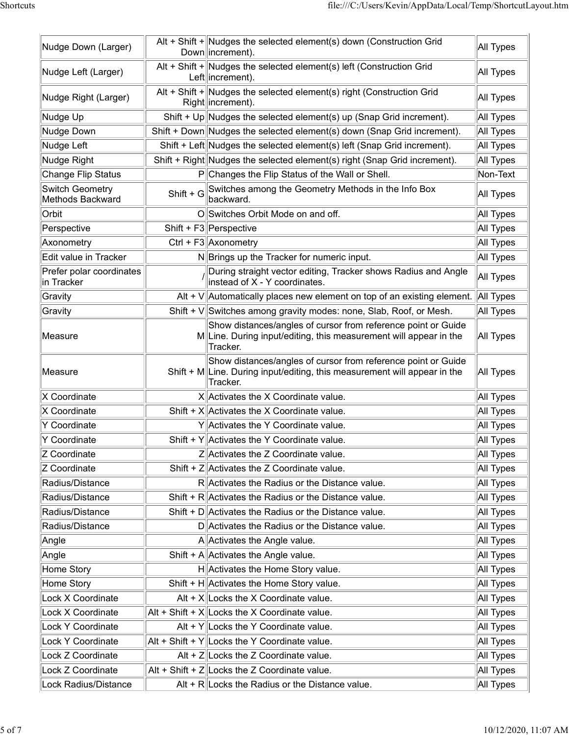|                                            | file:///C:/Users/Kevin/AppData/Local/Temp/ShortcutLayout.htm                                                                                             |                        |
|--------------------------------------------|----------------------------------------------------------------------------------------------------------------------------------------------------------|------------------------|
| Nudge Down (Larger)                        | Alt + Shift + Nudges the selected element(s) down (Construction Grid<br>Down lincrement).                                                                | All Types              |
| Nudge Left (Larger)                        | Alt + Shift + Nudges the selected element(s) left (Construction Grid<br>Left increment).                                                                 | All Types              |
| Nudge Right (Larger)                       | Alt + Shift + Nudges the selected element(s) right (Construction Grid<br>Right increment).                                                               | All Types              |
| Nudge Up                                   | Shift + Up Nudges the selected element(s) up (Snap Grid increment).                                                                                      | All Types              |
| Nudge Down                                 | Shift + Down Nudges the selected element(s) down (Snap Grid increment).                                                                                  | <b>All Types</b>       |
| Nudge Left                                 | Shift + Left Nudges the selected element(s) left (Snap Grid increment).                                                                                  | <b>All Types</b>       |
| Nudge Right                                | Shift + Right Nudges the selected element(s) right (Snap Grid increment).                                                                                | All Types              |
| Change Flip Status                         | P Changes the Flip Status of the Wall or Shell.                                                                                                          | Non-Text               |
| <b>Switch Geometry</b><br>Methods Backward | Shift + G Switches among the Geometry Methods in the Info Box<br>backward.                                                                               | All Types              |
| Orbit                                      | O Switches Orbit Mode on and off.                                                                                                                        | All Types              |
| Perspective                                | Shift + $F3$ Perspective                                                                                                                                 | All Types              |
| Axonometry                                 | Ctrl + $F3$ Axonometry                                                                                                                                   | All Types              |
| Edit value in Tracker                      | N Brings up the Tracker for numeric input.                                                                                                               | All Types              |
| Prefer polar coordinates<br>in Tracker     | During straight vector editing, Tracker shows Radius and Angle<br>$ $ instead of X - Y coordinates.                                                      | All Types              |
| Gravity                                    | Alt + $V$ Automatically places new element on top of an existing element.                                                                                | All Types              |
| Gravity                                    | Shift + V Switches among gravity modes: none, Slab, Roof, or Mesh.                                                                                       | All Types              |
| Measure                                    | Show distances/angles of cursor from reference point or Guide<br>MLine. During input/editing, this measurement will appear in the<br>Tracker.            | All Types              |
| Measure                                    | Show distances/angles of cursor from reference point or Guide<br>Shift + $M$ Line. During input/editing, this measurement will appear in the<br>Tracker. | All Types              |
| X Coordinate                               | X Activates the X Coordinate value.                                                                                                                      | All Types              |
| X Coordinate                               | Shift + $X$ Activates the X Coordinate value.                                                                                                            | All Types              |
| Y Coordinate                               | Y Activates the Y Coordinate value.                                                                                                                      | All Types              |
| Y Coordinate                               | Shift + $Y$ Activates the Y Coordinate value.                                                                                                            | All Types              |
| Z Coordinate                               | Z Activates the Z Coordinate value.                                                                                                                      | All Types              |
| Z Coordinate                               | Shift + Z  Activates the Z Coordinate value.                                                                                                             | All Types              |
| Radius/Distance                            | R Activates the Radius or the Distance value.                                                                                                            | All Types              |
| Radius/Distance                            | Shift + R Activates the Radius or the Distance value.                                                                                                    | All Types              |
| Radius/Distance<br>Radius/Distance         | Shift + D  Activates the Radius or the Distance value.<br>D Activates the Radius or the Distance value.                                                  | All Types<br>All Types |
| Angle                                      | A Activates the Angle value.                                                                                                                             | All Types              |
| Angle                                      | Shift + A $ $ Activates the Angle value.                                                                                                                 | All Types              |
| Home Story                                 | H Activates the Home Story value.                                                                                                                        | All Types              |
| Home Story                                 | Shift + H Activates the Home Story value.                                                                                                                | All Types              |
| Lock X Coordinate                          | Alt + $X$ Locks the X Coordinate value.                                                                                                                  | All Types              |
| Lock X Coordinate                          | $\text{Alt}$ + Shift + X Locks the X Coordinate value.                                                                                                   | All Types              |
| Lock Y Coordinate                          | Alt + $Y$ Locks the Y Coordinate value.                                                                                                                  | All Types              |
| Lock Y Coordinate                          | $\text{Alt}$ + Shift + Y  Locks the Y Coordinate value.                                                                                                  | All Types              |
| Lock Z Coordinate                          | Alt + $Z$ Locks the Z Coordinate value.                                                                                                                  | All Types              |
| Lock Z Coordinate                          | $\vert$ Alt + Shift + Z $\vert$ Locks the Z Coordinate value.                                                                                            | All Types              |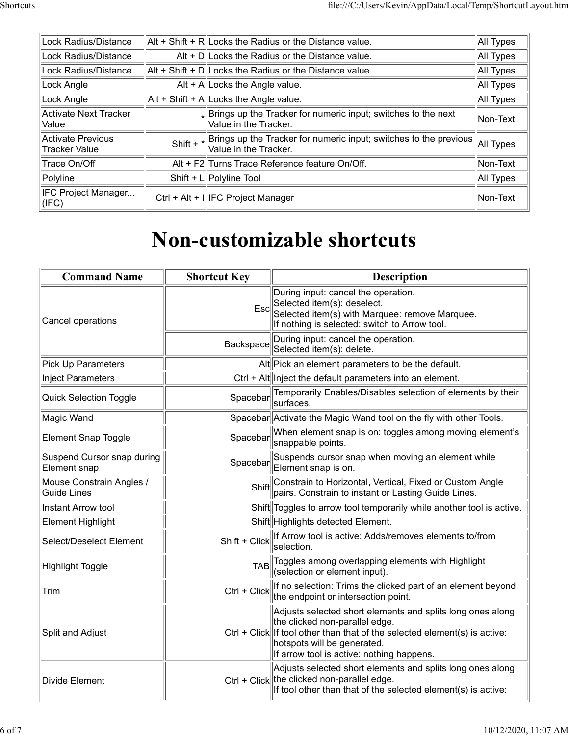|                                           |             | file:///C:/Users/Kevin/AppData/Local/Temp/ShortcutLayout.htm                                      |           |
|-------------------------------------------|-------------|---------------------------------------------------------------------------------------------------|-----------|
|                                           |             |                                                                                                   |           |
| Lock Radius/Distance                      |             | $\text{Alt}$ + Shift + R Locks the Radius or the Distance value.                                  | All Types |
| Lock Radius/Distance                      |             | Alt + D  Locks the Radius or the Distance value.                                                  | All Types |
| Lock Radius/Distance                      |             | $\text{Alt}$ + Shift + D Locks the Radius or the Distance value.                                  | All Types |
| Lock Angle                                |             | Alt + A  Locks the Angle value.                                                                   | All Types |
| Lock Angle                                |             | $\text{Alt}$ + Shift + A $\text{Locks}$ the Angle value.                                          | All Types |
| Activate Next Tracker<br>Value            |             | $_{*}$ Brings up the Tracker for numeric input; switches to the next<br>Value in the Tracker.     | Non-Text  |
| Activate Previous<br><b>Tracker Value</b> | Shift + $*$ | Brings up the Tracker for numeric input; switches to the previous<br>$\sf{Value}$ in the Tracker. | All Types |
| Trace On/Off                              |             | Alt + F2 Turns Trace Reference feature On/Off.                                                    | Non-Text  |
| Polyline                                  |             | Shift + $L$ Polyline Tool                                                                         | All Types |
| IFC Project Manager<br>(IFC)              |             | Ctrl + Alt + I  IFC Project Manager                                                               | Non-Text  |
|                                           |             |                                                                                                   |           |
|                                           |             |                                                                                                   |           |
|                                           |             | <b>Non-customizable shortcuts</b>                                                                 |           |
|                                           |             |                                                                                                   |           |
| <b>Command Name</b>                       |             | <b>Shortcut Key</b><br><b>Description</b>                                                         |           |
|                                           |             | During input: cancel the operation.                                                               |           |
|                                           |             | Esc                                                                                               |           |
|                                           |             | Selected item(s): deselect.<br>Selected item(s) with Marquee: remove Marquee.                     |           |
|                                           |             |                                                                                                   |           |
| Cancel operations                         |             | If nothing is selected: switch to Arrow tool.<br>$\Box$                                           |           |

## Non-customizable shortcuts

| Value                                      |         | Value in the Tracker.               |                                                                                                                                                                                                                                                             | 10111071  |
|--------------------------------------------|---------|-------------------------------------|-------------------------------------------------------------------------------------------------------------------------------------------------------------------------------------------------------------------------------------------------------------|-----------|
| Activate Previous<br>Tracker Value         | Shift + | Value in the Tracker.               | Brings up the Tracker for numeric input; switches to the previous                                                                                                                                                                                           | All Types |
| Trace On/Off                               |         |                                     | Alt + F2 Turns Trace Reference feature On/Off.                                                                                                                                                                                                              | Non-Text  |
| Polyline                                   |         | Shift + $L$ Polyline Tool           |                                                                                                                                                                                                                                                             | All Types |
| IFC Project Manager<br>$\vert$ (IFC)       |         | Ctrl + Alt + I  IFC Project Manager |                                                                                                                                                                                                                                                             | Non-Text  |
|                                            |         |                                     | <b>Non-customizable shortcuts</b>                                                                                                                                                                                                                           |           |
| <b>Command Name</b>                        |         | <b>Shortcut Key</b>                 | <b>Description</b>                                                                                                                                                                                                                                          |           |
| Cancel operations                          |         |                                     | During input: cancel the operation.<br>Esc <sup>od</sup> Selected item(s): deselect.<br>Selected item(s) with Marquee: remove Marquee.<br>If nothing is selected: switch to Arrow tool.                                                                     |           |
|                                            |         | Backspace                           | During input: cancel the operation.<br>Selected item(s): delete.                                                                                                                                                                                            |           |
| Pick Up Parameters                         |         |                                     | Alt Pick an element parameters to be the default.                                                                                                                                                                                                           |           |
| Inject Parameters                          |         |                                     | Ctrl + Alt linject the default parameters into an element.                                                                                                                                                                                                  |           |
| Quick Selection Toggle                     |         | Spacebar                            | Temporarily Enables/Disables selection of elements by their<br>surfaces.                                                                                                                                                                                    |           |
| Magic Wand                                 |         |                                     | Spacebar Activate the Magic Wand tool on the fly with other Tools.                                                                                                                                                                                          |           |
| Element Snap Toggle                        |         | Spacebar                            | When element snap is on: toggles among moving element's<br>snappable points.                                                                                                                                                                                |           |
| Suspend Cursor snap during<br>Element snap |         | Spacebar                            | Suspends cursor snap when moving an element while<br>Element snap is on.                                                                                                                                                                                    |           |
| Mouse Constrain Angles /<br>Guide Lines    |         | Shift                               | Constrain to Horizontal, Vertical, Fixed or Custom Angle<br>pairs. Constrain to instant or Lasting Guide Lines.                                                                                                                                             |           |
| Instant Arrow tool                         |         |                                     | Shift Toggles to arrow tool temporarily while another tool is active.                                                                                                                                                                                       |           |
| Element Highlight                          |         |                                     | Shift Highlights detected Element.                                                                                                                                                                                                                          |           |
| Select/Deselect Element                    |         | Shift + Click                       | If Arrow tool is active: Adds/removes elements to/from<br>selection.                                                                                                                                                                                        |           |
| Highlight Toggle                           |         | <b>TAB</b>                          | Toggles among overlapping elements with Highlight<br>(selection or element input).                                                                                                                                                                          |           |
| Trim                                       |         | Ctrl + Click                        | If no selection: Trims the clicked part of an element beyond<br>the endpoint or intersection point.                                                                                                                                                         |           |
| Split and Adjust                           |         |                                     | Adjusts selected short elements and splits long ones along<br>the clicked non-parallel edge.<br>$Ctrl + Click   $ If tool other than that of the selected element(s) is active:<br>hotspots will be generated.<br>If arrow tool is active: nothing happens. |           |
| Divide Element                             |         |                                     | Adjusts selected short elements and splits long ones along<br>Ctrl + Click the clicked non-parallel edge.<br>If tool other than that of the selected element(s) is active:                                                                                  |           |